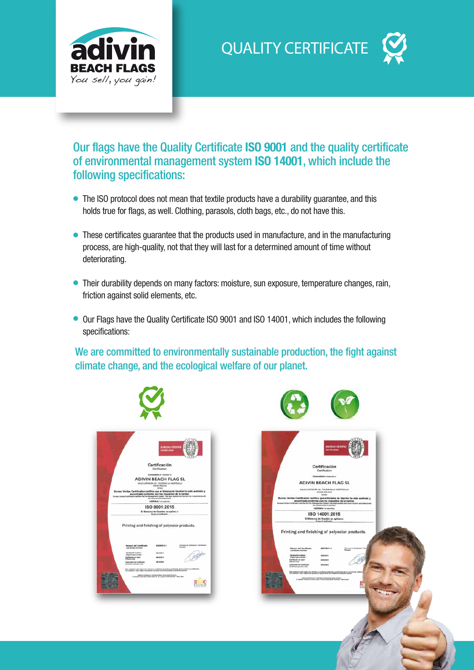

**QUALITY CERTIFICATE**

## Our flags have the Quality Certificate **ISO 9001** and the quality certificate of environmental management system **ISO 14001**, which include the following specifications:

- The ISO protocol does not mean that textile products have a durability guarantee, and this holds true for flags, as well. Clothing, parasols, cloth bags, etc., do not have this.
- These certificates guarantee that the products used in manufacture, and in the manufacturing process, are high-quality, not that they will last for a determined amount of time without deteriorating.
- Their durability depends on many factors: moisture, sun exposure, temperature changes, rain, friction against solid elements, etc.
- Our Flags have the Quality Certificate ISO 9001 and ISO 14001, which includes the following specifications:

We are committed to environmentally sustainable production, the fight against climate change, and the ecological welfare of our planet.